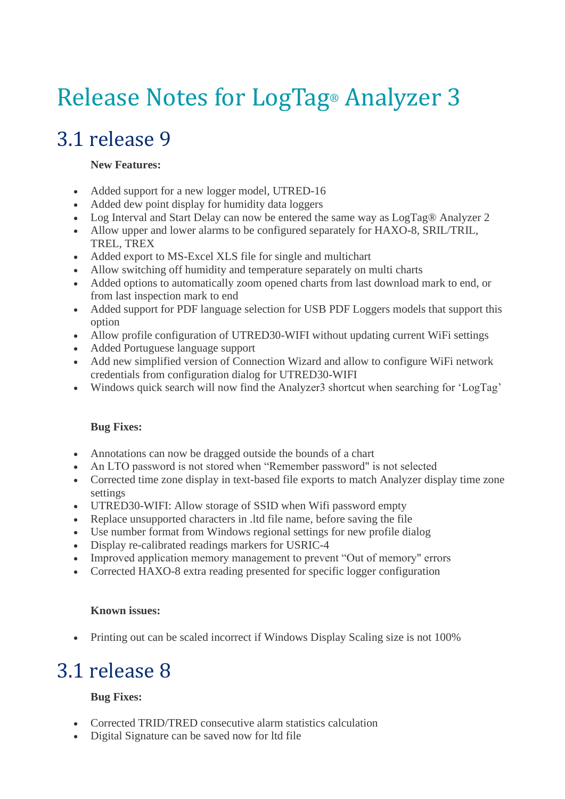# Release Notes for LogTag® Analyzer 3

## 3.1 release 9

#### **New Features:**

- Added support for a new logger model, UTRED-16
- Added dew point display for humidity data loggers
- Log Interval and Start Delay can now be entered the same way as LogTag® Analyzer 2
- Allow upper and lower alarms to be configured separately for HAXO-8, SRIL/TRIL, TREL, TREX
- Added export to MS-Excel XLS file for single and multichart
- Allow switching off humidity and temperature separately on multi charts
- Added options to automatically zoom opened charts from last download mark to end, or from last inspection mark to end
- Added support for PDF language selection for USB PDF Loggers models that support this option
- Allow profile configuration of UTRED30-WIFI without updating current WiFi settings
- Added Portuguese language support
- Add new simplified version of Connection Wizard and allow to configure WiFi network credentials from configuration dialog for UTRED30-WIFI
- Windows quick search will now find the Analyzer3 shortcut when searching for 'LogTag'

#### **Bug Fixes:**

- Annotations can now be dragged outside the bounds of a chart
- An LTO password is not stored when "Remember password" is not selected
- Corrected time zone display in text-based file exports to match Analyzer display time zone settings
- UTRED30-WIFI: Allow storage of SSID when Wifi password empty
- Replace unsupported characters in .ltd file name, before saving the file
- Use number format from Windows regional settings for new profile dialog
- Display re-calibrated readings markers for USRIC-4
- Improved application memory management to prevent "Out of memory" errors
- Corrected HAXO-8 extra reading presented for specific logger configuration

#### **Known issues:**

• Printing out can be scaled incorrect if Windows Display Scaling size is not 100%

## 3.1 release 8

#### **Bug Fixes:**

- Corrected TRID/TRED consecutive alarm statistics calculation
- Digital Signature can be saved now for ltd file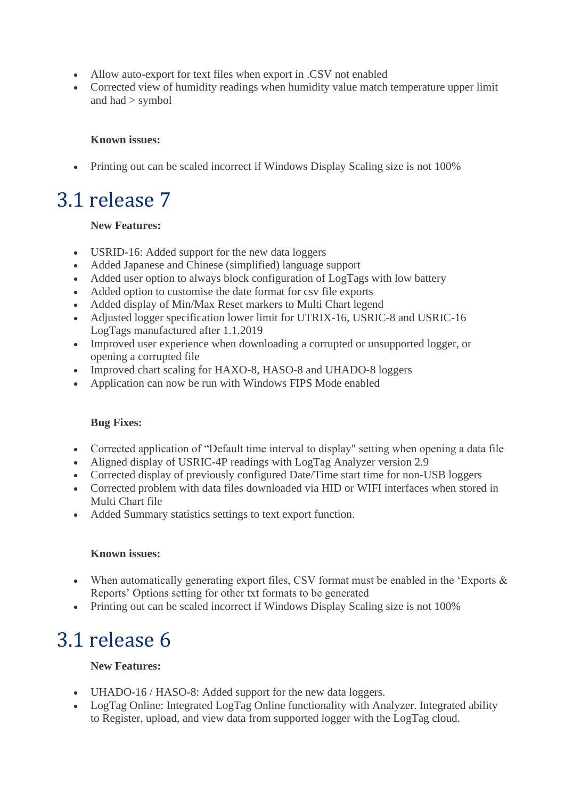- Allow auto-export for text files when export in .CSV not enabled
- Corrected view of humidity readings when humidity value match temperature upper limit and had > symbol

#### **Known issues:**

• Printing out can be scaled incorrect if Windows Display Scaling size is not 100%

### 3.1 release 7

#### **New Features:**

- USRID-16: Added support for the new data loggers
- Added Japanese and Chinese (simplified) language support
- Added user option to always block configuration of LogTags with low battery
- Added option to customise the date format for csv file exports
- Added display of Min/Max Reset markers to Multi Chart legend
- Adjusted logger specification lower limit for UTRIX-16, USRIC-8 and USRIC-16 LogTags manufactured after 1.1.2019
- Improved user experience when downloading a corrupted or unsupported logger, or opening a corrupted file
- Improved chart scaling for HAXO-8, HASO-8 and UHADO-8 loggers
- Application can now be run with Windows FIPS Mode enabled

#### **Bug Fixes:**

- Corrected application of "Default time interval to display" setting when opening a data file
- Aligned display of USRIC-4P readings with LogTag Analyzer version 2.9
- Corrected display of previously configured Date/Time start time for non-USB loggers
- Corrected problem with data files downloaded via HID or WIFI interfaces when stored in Multi Chart file
- Added Summary statistics settings to text export function.

#### **Known issues:**

- When automatically generating export files, CSV format must be enabled in the 'Exports & Reports' Options setting for other txt formats to be generated
- Printing out can be scaled incorrect if Windows Display Scaling size is not 100%

### 3.1 release 6

#### **New Features:**

- UHADO-16 / HASO-8: Added support for the new data loggers.
- LogTag Online: Integrated LogTag Online functionality with Analyzer. Integrated ability to Register, upload, and view data from supported logger with the LogTag cloud.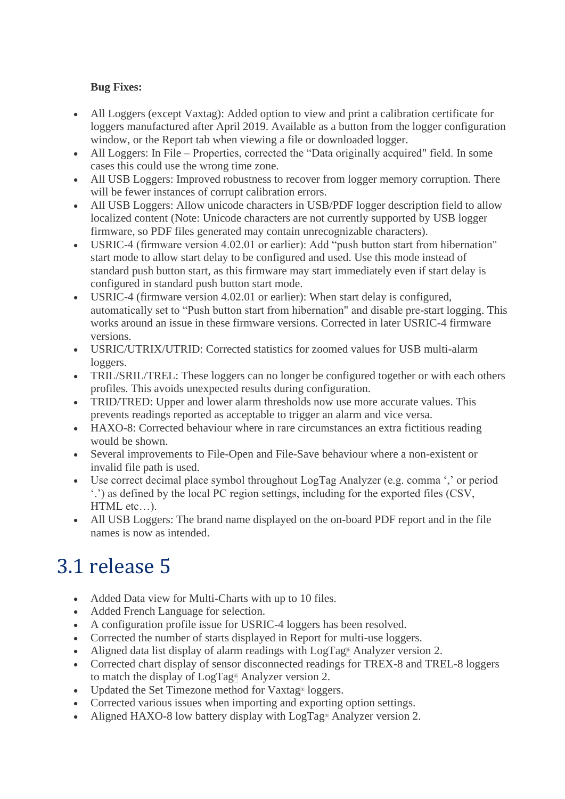#### **Bug Fixes:**

- All Loggers (except Vaxtag): Added option to view and print a calibration certificate for loggers manufactured after April 2019. Available as a button from the logger configuration window, or the Report tab when viewing a file or downloaded logger.
- All Loggers: In File Properties, corrected the "Data originally acquired" field. In some cases this could use the wrong time zone.
- All USB Loggers: Improved robustness to recover from logger memory corruption. There will be fewer instances of corrupt calibration errors.
- All USB Loggers: Allow unicode characters in USB/PDF logger description field to allow localized content (Note: Unicode characters are not currently supported by USB logger firmware, so PDF files generated may contain unrecognizable characters).
- USRIC-4 (firmware version 4.02.01 or earlier): Add "push button start from hibernation" start mode to allow start delay to be configured and used. Use this mode instead of standard push button start, as this firmware may start immediately even if start delay is configured in standard push button start mode.
- USRIC-4 (firmware version 4.02.01 or earlier): When start delay is configured, automatically set to "Push button start from hibernation" and disable pre-start logging. This works around an issue in these firmware versions. Corrected in later USRIC-4 firmware versions.
- USRIC/UTRIX/UTRID: Corrected statistics for zoomed values for USB multi-alarm loggers.
- TRIL/SRIL/TREL: These loggers can no longer be configured together or with each others profiles. This avoids unexpected results during configuration.
- TRID/TRED: Upper and lower alarm thresholds now use more accurate values. This prevents readings reported as acceptable to trigger an alarm and vice versa.
- HAXO-8: Corrected behaviour where in rare circumstances an extra fictitious reading would be shown.
- Several improvements to File-Open and File-Save behaviour where a non-existent or invalid file path is used.
- Use correct decimal place symbol throughout LogTag Analyzer (e.g. comma ',' or period '.') as defined by the local PC region settings, including for the exported files (CSV, HTML etc…).
- All USB Loggers: The brand name displayed on the on-board PDF report and in the file names is now as intended.

## 3.1 release 5

- Added Data view for Multi-Charts with up to 10 files.
- Added French Language for selection.
- A configuration profile issue for USRIC-4 loggers has been resolved.
- Corrected the number of starts displayed in Report for multi-use loggers.
- Aligned data list display of alarm readings with LogTag<sup>®</sup> Analyzer version 2.
- Corrected chart display of sensor disconnected readings for TREX-8 and TREL-8 loggers to match the display of LogTag® Analyzer version 2.
- Updated the Set Timezone method for Vaxtag<sup>®</sup> loggers.
- Corrected various issues when importing and exporting option settings.
- Aligned HAXO-8 low battery display with LogTag® Analyzer version 2.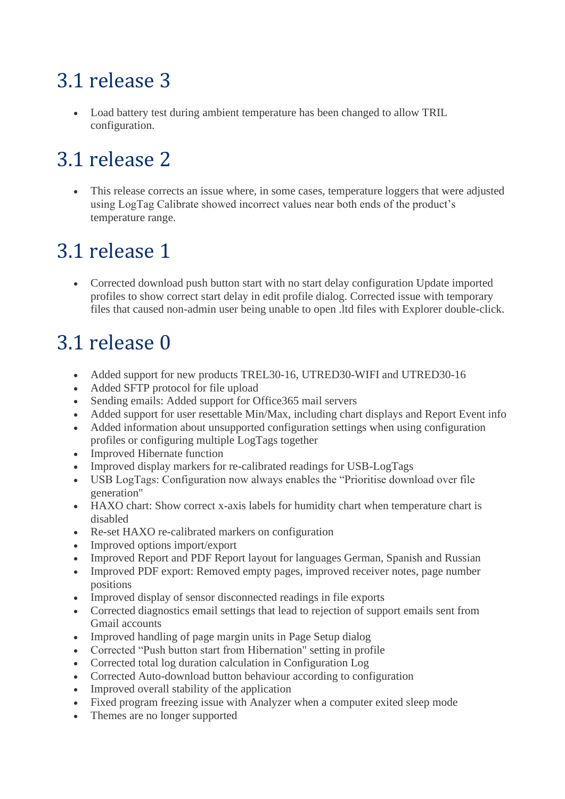## 3.1 release 3

• Load battery test during ambient temperature has been changed to allow TRIL configuration.

## 3.1 release 2

This release corrects an issue where, in some cases, temperature loggers that were adjusted using LogTag Calibrate showed incorrect values near both ends of the product's temperature range.

## 3.1 release 1

• Corrected download push button start with no start delay configuration Update imported profiles to show correct start delay in edit profile dialog. Corrected issue with temporary files that caused non-admin user being unable to open .ltd files with Explorer double-click.

## 3.1 release 0

- Added support for new products TREL30-16, UTRED30-WIFI and UTRED30-16
- Added SFTP protocol for file upload
- Sending emails: Added support for Office365 mail servers
- Added support for user resettable Min/Max, including chart displays and Report Event info
- Added information about unsupported configuration settings when using configuration profiles or configuring multiple LogTags together
- Improved Hibernate function
- Improved display markers for re-calibrated readings for USB-LogTags
- USB LogTags: Configuration now always enables the "Prioritise download over file generation"
- HAXO chart: Show correct x-axis labels for humidity chart when temperature chart is disabled
- Re-set HAXO re-calibrated markers on configuration
- Improved options import/export
- Improved Report and PDF Report layout for languages German, Spanish and Russian
- Improved PDF export: Removed empty pages, improved receiver notes, page number positions
- Improved display of sensor disconnected readings in file exports
- Corrected diagnostics email settings that lead to rejection of support emails sent from Gmail accounts
- Improved handling of page margin units in Page Setup dialog
- Corrected "Push button start from Hibernation" setting in profile
- Corrected total log duration calculation in Configuration Log
- Corrected Auto-download button behaviour according to configuration
- Improved overall stability of the application
- Fixed program freezing issue with Analyzer when a computer exited sleep mode
- Themes are no longer supported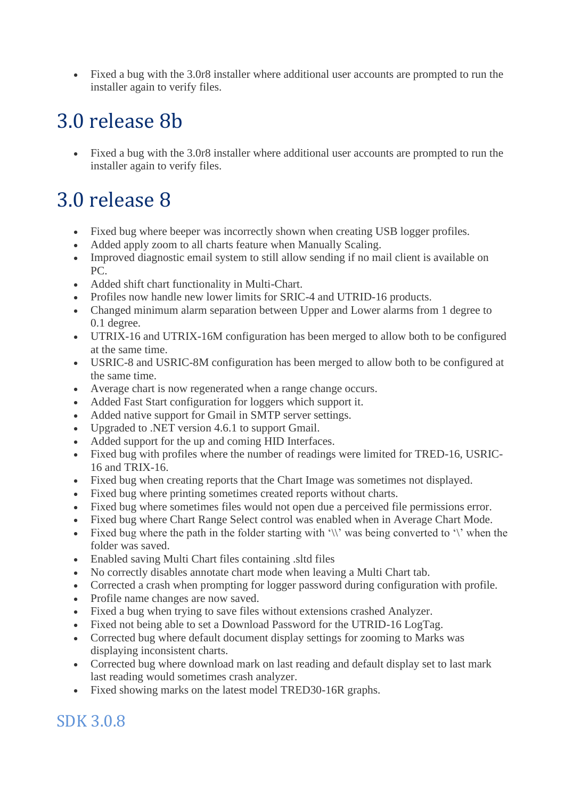• Fixed a bug with the 3.0r8 installer where additional user accounts are prompted to run the installer again to verify files.

## 3.0 release 8b

• Fixed a bug with the 3.0r8 installer where additional user accounts are prompted to run the installer again to verify files.

## 3.0 release 8

- Fixed bug where beeper was incorrectly shown when creating USB logger profiles.
- Added apply zoom to all charts feature when Manually Scaling.
- Improved diagnostic email system to still allow sending if no mail client is available on PC.
- Added shift chart functionality in Multi-Chart.
- Profiles now handle new lower limits for SRIC-4 and UTRID-16 products.
- Changed minimum alarm separation between Upper and Lower alarms from 1 degree to 0.1 degree.
- UTRIX-16 and UTRIX-16M configuration has been merged to allow both to be configured at the same time.
- USRIC-8 and USRIC-8M configuration has been merged to allow both to be configured at the same time.
- Average chart is now regenerated when a range change occurs.
- Added Fast Start configuration for loggers which support it.
- Added native support for Gmail in SMTP server settings.
- Upgraded to .NET version 4.6.1 to support Gmail.
- Added support for the up and coming HID Interfaces.
- Fixed bug with profiles where the number of readings were limited for TRED-16, USRIC-16 and TRIX-16.
- Fixed bug when creating reports that the Chart Image was sometimes not displayed.
- Fixed bug where printing sometimes created reports without charts.
- Fixed bug where sometimes files would not open due a perceived file permissions error.
- Fixed bug where Chart Range Select control was enabled when in Average Chart Mode.
- Fixed bug where the path in the folder starting with '\\' was being converted to '\' when the folder was saved.
- Enabled saving Multi Chart files containing .sltd files
- No correctly disables annotate chart mode when leaving a Multi Chart tab.
- Corrected a crash when prompting for logger password during configuration with profile.
- Profile name changes are now saved.
- Fixed a bug when trying to save files without extensions crashed Analyzer.
- Fixed not being able to set a Download Password for the UTRID-16 LogTag.
- Corrected bug where default document display settings for zooming to Marks was displaying inconsistent charts.
- Corrected bug where download mark on last reading and default display set to last mark last reading would sometimes crash analyzer.
- Fixed showing marks on the latest model TRED30-16R graphs.

#### SDK 3.0.8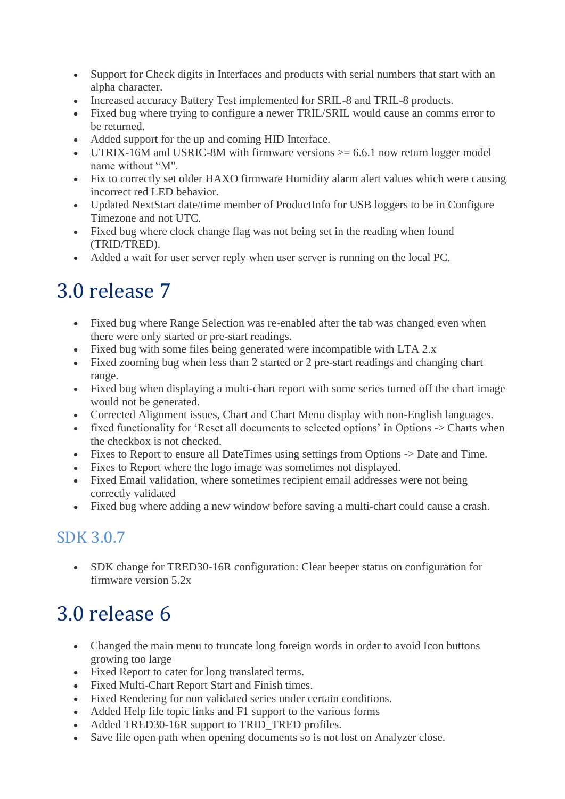- Support for Check digits in Interfaces and products with serial numbers that start with an alpha character.
- Increased accuracy Battery Test implemented for SRIL-8 and TRIL-8 products.
- Fixed bug where trying to configure a newer TRIL/SRIL would cause an comms error to be returned.
- Added support for the up and coming HID Interface.
- UTRIX-16M and USRIC-8M with firmware versions  $\ge$  = 6.6.1 now return logger model name without "M".
- Fix to correctly set older HAXO firmware Humidity alarm alert values which were causing incorrect red LED behavior.
- Updated NextStart date/time member of ProductInfo for USB loggers to be in Configure Timezone and not UTC.
- Fixed bug where clock change flag was not being set in the reading when found (TRID/TRED).
- Added a wait for user server reply when user server is running on the local PC.

### 3.0 release 7

- Fixed bug where Range Selection was re-enabled after the tab was changed even when there were only started or pre-start readings.
- Fixed bug with some files being generated were incompatible with LTA 2.x
- Fixed zooming bug when less than 2 started or 2 pre-start readings and changing chart range.
- Fixed bug when displaying a multi-chart report with some series turned off the chart image would not be generated.
- Corrected Alignment issues, Chart and Chart Menu display with non-English languages.
- fixed functionality for 'Reset all documents to selected options' in Options -> Charts when the checkbox is not checked.
- Fixes to Report to ensure all DateTimes using settings from Options -> Date and Time.
- Fixes to Report where the logo image was sometimes not displayed.
- Fixed Email validation, where sometimes recipient email addresses were not being correctly validated
- Fixed bug where adding a new window before saving a multi-chart could cause a crash.

#### SDK 3.0.7

• SDK change for TRED30-16R configuration: Clear beeper status on configuration for firmware version 5.2x

## 3.0 release 6

- Changed the main menu to truncate long foreign words in order to avoid Icon buttons growing too large
- Fixed Report to cater for long translated terms.
- Fixed Multi-Chart Report Start and Finish times.
- Fixed Rendering for non validated series under certain conditions.
- Added Help file topic links and F1 support to the various forms
- Added TRED30-16R support to TRID TRED profiles.
- Save file open path when opening documents so is not lost on Analyzer close.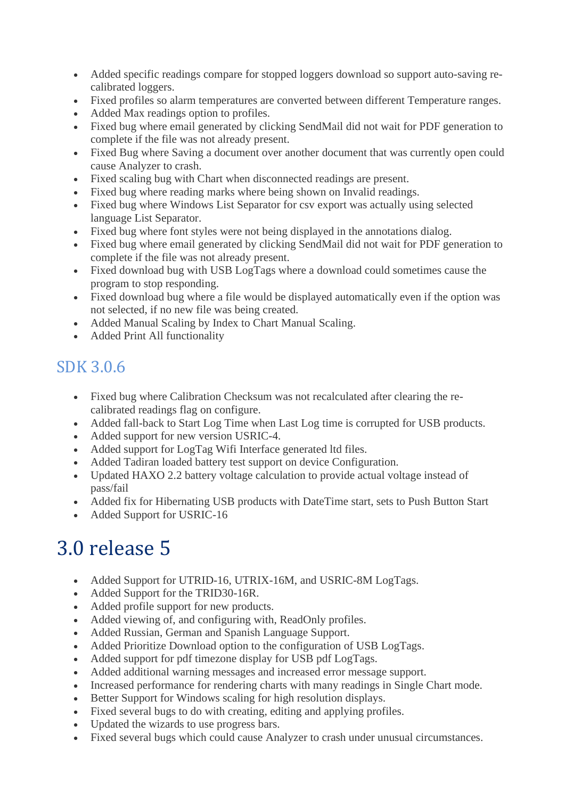- Added specific readings compare for stopped loggers download so support auto-saving recalibrated loggers.
- Fixed profiles so alarm temperatures are converted between different Temperature ranges.
- Added Max readings option to profiles.
- Fixed bug where email generated by clicking SendMail did not wait for PDF generation to complete if the file was not already present.
- Fixed Bug where Saving a document over another document that was currently open could cause Analyzer to crash.
- Fixed scaling bug with Chart when disconnected readings are present.
- Fixed bug where reading marks where being shown on Invalid readings.
- Fixed bug where Windows List Separator for csy export was actually using selected language List Separator.
- Fixed bug where font styles were not being displayed in the annotations dialog.
- Fixed bug where email generated by clicking SendMail did not wait for PDF generation to complete if the file was not already present.
- Fixed download bug with USB LogTags where a download could sometimes cause the program to stop responding.
- Fixed download bug where a file would be displayed automatically even if the option was not selected, if no new file was being created.
- Added Manual Scaling by Index to Chart Manual Scaling.
- Added Print All functionality

#### SDK 3.0.6

- Fixed bug where Calibration Checksum was not recalculated after clearing the recalibrated readings flag on configure.
- Added fall-back to Start Log Time when Last Log time is corrupted for USB products.
- Added support for new version USRIC-4.
- Added support for LogTag Wifi Interface generated ltd files.
- Added Tadiran loaded battery test support on device Configuration.
- Updated HAXO 2.2 battery voltage calculation to provide actual voltage instead of pass/fail
- Added fix for Hibernating USB products with DateTime start, sets to Push Button Start
- Added Support for USRIC-16

## 3.0 release 5

- Added Support for UTRID-16, UTRIX-16M, and USRIC-8M LogTags.
- Added Support for the TRID30-16R.
- Added profile support for new products.
- Added viewing of, and configuring with, ReadOnly profiles.
- Added Russian, German and Spanish Language Support.
- Added Prioritize Download option to the configuration of USB LogTags.
- Added support for pdf timezone display for USB pdf LogTags.
- Added additional warning messages and increased error message support.
- Increased performance for rendering charts with many readings in Single Chart mode.
- Better Support for Windows scaling for high resolution displays.
- Fixed several bugs to do with creating, editing and applying profiles.
- Updated the wizards to use progress bars.
- Fixed several bugs which could cause Analyzer to crash under unusual circumstances.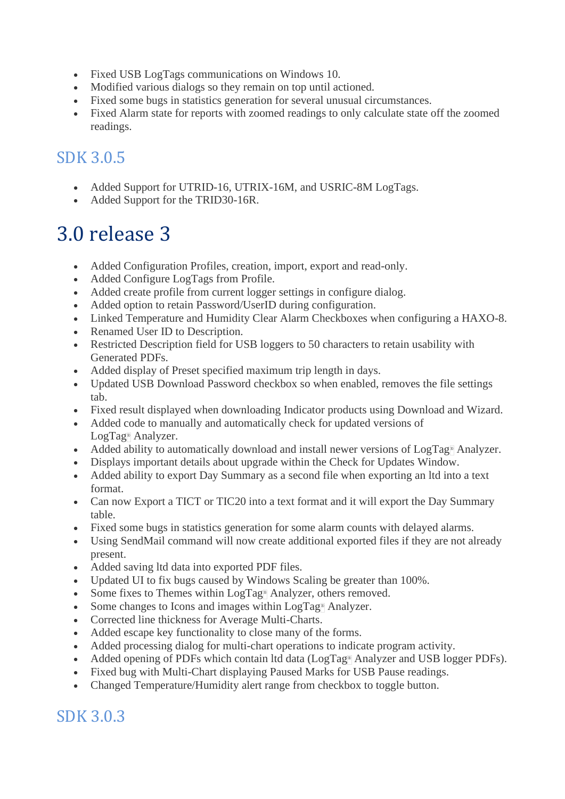- Fixed USB LogTags communications on Windows 10.
- Modified various dialogs so they remain on top until actioned.
- Fixed some bugs in statistics generation for several unusual circumstances.
- Fixed Alarm state for reports with zoomed readings to only calculate state off the zoomed readings.

#### SDK 3.0.5

- Added Support for UTRID-16, UTRIX-16M, and USRIC-8M LogTags.
- Added Support for the TRID30-16R.

### 3.0 release 3

- Added Configuration Profiles, creation, import, export and read-only.
- Added Configure LogTags from Profile.
- Added create profile from current logger settings in configure dialog.
- Added option to retain Password/UserID during configuration.
- Linked Temperature and Humidity Clear Alarm Checkboxes when configuring a HAXO-8.
- Renamed User ID to Description.
- Restricted Description field for USB loggers to 50 characters to retain usability with Generated PDFs.
- Added display of Preset specified maximum trip length in days.
- Updated USB Download Password checkbox so when enabled, removes the file settings tab.
- Fixed result displayed when downloading Indicator products using Download and Wizard.
- Added code to manually and automatically check for updated versions of LogTag® Analyzer.
- Added ability to automatically download and install newer versions of LogTag® Analyzer.
- Displays important details about upgrade within the Check for Updates Window.
- Added ability to export Day Summary as a second file when exporting an ltd into a text format.
- Can now Export a TICT or TIC20 into a text format and it will export the Day Summary table.
- Fixed some bugs in statistics generation for some alarm counts with delayed alarms.
- Using SendMail command will now create additional exported files if they are not already present.
- Added saving ltd data into exported PDF files.
- Updated UI to fix bugs caused by Windows Scaling be greater than 100%.
- Some fixes to Themes within LogTag<sup>®</sup> Analyzer, others removed.
- Some changes to Icons and images within LogTag® Analyzer.
- Corrected line thickness for Average Multi-Charts.
- Added escape key functionality to close many of the forms.
- Added processing dialog for multi-chart operations to indicate program activity.
- Added opening of PDFs which contain ltd data (LogTag® Analyzer and USB logger PDFs).
- Fixed bug with Multi-Chart displaying Paused Marks for USB Pause readings.
- Changed Temperature/Humidity alert range from checkbox to toggle button.

#### SDK 3.0.3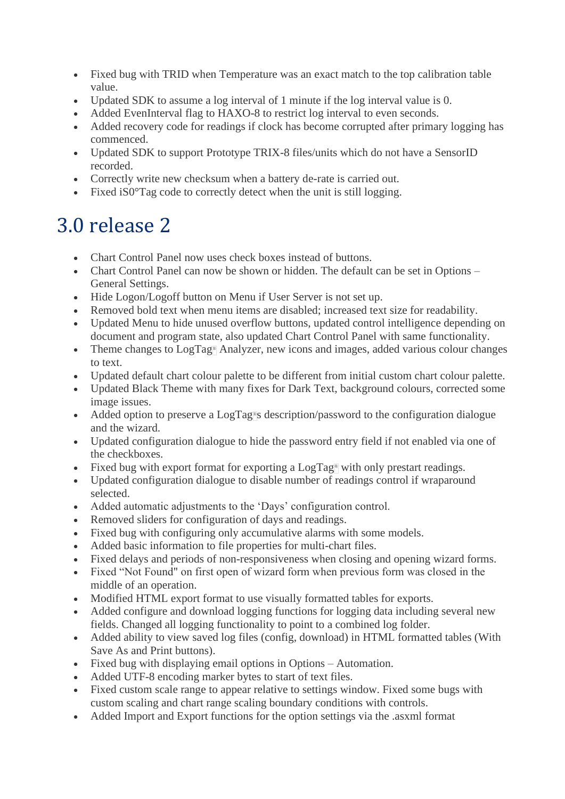- Fixed bug with TRID when Temperature was an exact match to the top calibration table value.
- Updated SDK to assume a log interval of 1 minute if the log interval value is 0.
- Added EvenInterval flag to HAXO-8 to restrict log interval to even seconds.
- Added recovery code for readings if clock has become corrupted after primary logging has commenced.
- Updated SDK to support Prototype TRIX-8 files/units which do not have a SensorID recorded.
- Correctly write new checksum when a battery de-rate is carried out.
- Fixed iS0 $^{\circ}$ Tag code to correctly detect when the unit is still logging.

### 3.0 release 2

- Chart Control Panel now uses check boxes instead of buttons.
- Chart Control Panel can now be shown or hidden. The default can be set in Options General Settings.
- Hide Logon/Logoff button on Menu if User Server is not set up.
- Removed bold text when menu items are disabled; increased text size for readability.
- Updated Menu to hide unused overflow buttons, updated control intelligence depending on document and program state, also updated Chart Control Panel with same functionality.
- Theme changes to LogTag® Analyzer, new icons and images, added various colour changes to text.
- Updated default chart colour palette to be different from initial custom chart colour palette.
- Updated Black Theme with many fixes for Dark Text, background colours, corrected some image issues.
- Added option to preserve a LogTag<sup>®</sup>s description/password to the configuration dialogue and the wizard.
- Updated configuration dialogue to hide the password entry field if not enabled via one of the checkboxes.
- Fixed bug with export format for exporting a LogTag<sup>®</sup> with only prestart readings.
- Updated configuration dialogue to disable number of readings control if wraparound selected.
- Added automatic adjustments to the 'Days' configuration control.
- Removed sliders for configuration of days and readings.
- Fixed bug with configuring only accumulative alarms with some models.
- Added basic information to file properties for multi-chart files.
- Fixed delays and periods of non-responsiveness when closing and opening wizard forms.
- Fixed "Not Found" on first open of wizard form when previous form was closed in the middle of an operation.
- Modified HTML export format to use visually formatted tables for exports.
- Added configure and download logging functions for logging data including several new fields. Changed all logging functionality to point to a combined log folder.
- Added ability to view saved log files (config, download) in HTML formatted tables (With Save As and Print buttons).
- Fixed bug with displaying email options in Options Automation.
- Added UTF-8 encoding marker bytes to start of text files.
- Fixed custom scale range to appear relative to settings window. Fixed some bugs with custom scaling and chart range scaling boundary conditions with controls.
- Added Import and Export functions for the option settings via the .asxml format